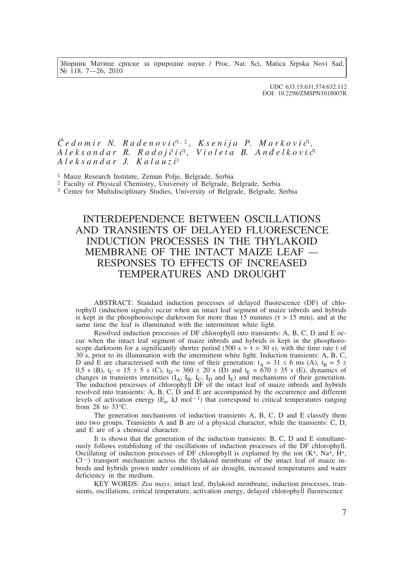Зборник Матице српске за природне науке / Proc. Nat. Sci, Matica Srpska Novi Sad,  $\mathcal{N}$  118, 7 - 26, 2010

> UDC 633.15:631.574:632.112 DOI: 10.2298/ZMSPN1018007R

# $\check{C}$ e do m ir N. Radenović<sup>1, 2</sup>, K senija P. Marković<sup>1</sup>, *A l e k s a n d a r R. R a d o j å i ã*<sup>1</sup> *, V i o l e t a B. A n ð e l k o v i ã*<sup>1</sup> *A l e k s a n d a r J. K a l a u z i*<sup>3</sup>

1 Maize Research Institute, Zemun Polje, Belgrade, Serbia

2 Faculty of Physical Chemistry, University of Belgrade, Belgrade, Serbia

3 Center for Multidisciplinary Studies, University of Belgrade, Belgrade, Serbia

# INTERDEPENDENCE BETWEEN OSCILLATIONS AND TRANSIENTS OF DELAYED FLUORESCENCE INDUCTION PROCESSES IN THE THYLAKOID MEMBRANE OF THE INTACT MAIZE LEAF — RESPONSES TO EFFECTS OF INCREASED TEMPERATURES AND DROUGHT

ABSTRACT: Standard induction processes of delayed fluorescence (DF) of chlorophyll (induction signals) occur when an intact leaf segment of maize inbreds and hybrids is kept in the phosphoroscope darkroom for more than 15 minutes ( $\tau > 15$  min), and at the same time the leaf is illuminated with the intermittent white light.

Resolved induction processes of DF chlorophyll into transients: A, B, C, D and E occur when the intact leaf segment of maize inbreds and hybrids is kept in the phosphoroscope darkroom for a significantly shorter period (500 s  $> \tau > 30$  s), with the time rate t of 30 s, prior to its illumination with the intermittent white light. Induction transients: A, B, C, D and E are characterised with the time of their generation:  $t_A = 31 \pm 6$  ms (A),  $t_B = 5 \pm 1$ 0,5 s (B), t<sub>C</sub> = 15  $\pm$  5 s (C), t<sub>D</sub> = 360  $\pm$  20 s (D) and t<sub>E</sub> = 670  $\pm$  35 s (E), dynamics of changes in transients intensities  $(I_A, I_B, I_C, I_D \text{ and } I_E)$  and mechanisms of their generation. The induction processes of chlorophyll DF of the intact leaf of maize inbreds and hybrids resolved into transients: A, B, C, D and E are accompanied by the occurrence and different levels of activation energy (E<sub>3</sub>, kJ mol<sup>-1</sup>) that correspond to critical temperatures ranging from 28 to  $33^{\circ}$ C.

The generation mechanisms of induction transients A, B, C, D and E classify them into two groups. Transients A and B are of a physical character, while the transients: C, D, and E are of a chemical character.

It is shown that the generation of the induction transients: B, C, D and E simultaneously follows establishing of the oscillations of induction processes of the DF chlorophyll. Oscillating of induction processes of DF chlorophyll is explained by the ion  $(K^+, Na^+, H^+,$  $Cl<sup>-</sup>$ ) transport mechanism across the thylakoid membrane of the intact leaf of maize inbreds and hybrids grown under conditions of air drought, increased temperatures and water deficiency in the medium.

KEY WORDS: *Zea mays*, intact leaf, thylakoid membrane, induction processes, transients, oscillations, critical temperature, activation energy, delayed chlorophyll fluorescence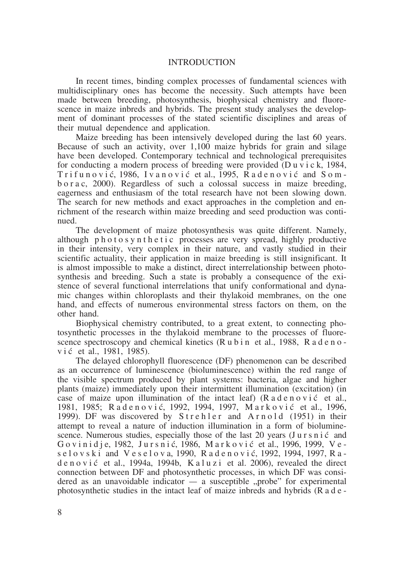### INTRODUCTION

In recent times, binding complex processes of fundamental sciences with multidisciplinary ones has become the necessity. Such attempts have been made between breeding, photosynthesis, biophysical chemistry and fluorescence in maize inbreds and hybrids. The present study analyses the development of dominant processes of the stated scientific disciplines and areas of their mutual dependence and application.

Maize breeding has been intensively developed during the last 60 years. Because of such an activity, over 1,100 maize hybrids for grain and silage have been developed. Contemporary technical and technological prerequisites for conducting a modern process of breeding were provided (D u v i c k, 1984, Trifunović, 1986, Ivanović et al., 1995, Radenović and Somb o r a c, 2000). Regardless of such a colossal success in maize breeding, eagerness and enthusiasm of the total research have not been slowing down. The search for new methods and exact approaches in the completion and enrichment of the research within maize breeding and seed production was continued.

The development of maize photosynthesis was quite different. Namely, although photosynthetic processes are very spread, highly productive in their intensity, very complex in their nature, and vastly studied in their scientific actuality, their application in maize breeding is still insignificant. It is almost impossible to make a distinct, direct interrelationship between photosynthesis and breeding. Such a state is probably a consequence of the existence of several functional interrelations that unify conformational and dynamic changes within chloroplasts and their thylakoid membranes, on the one hand, and effects of numerous environmental stress factors on them, on the other hand.

Biophysical chemistry contributed, to a great extent, to connecting photosynthetic processes in the thylakoid membrane to the processes of fluorescence spectroscopy and chemical kinetics  $(R u b i n$  et al., 1988, R a d e n o v i ć et al., 1981, 1985).

The delayed chlorophyll fluorescence (DF) phenomenon can be described as an occurrence of luminescence (bioluminescence) within the red range of the visible spectrum produced by plant systems: bacteria, algae and higher plants (maize) immediately upon their intermittent illumination (excitation) (in case of maize upon illumination of the intact leaf) ( $R$  a d e n o v i  $\acute{c}$  et al., 1981, 1985; Radenović, 1992, 1994, 1997, Marković et al., 1996, 1999). DF was discovered by Strehler and Arnold (1951) in their attempt to reveal a nature of induction illumination in a form of bioluminescence. Numerous studies, especially those of the last 20 years (J u r s n i  $\acute{c}$  and G o v i n i d j e, 1982, J u r s n i ć, 1986, M a r k o v i ć et al., 1996, 1999, V e  $s$  e l o v s k i and V e s e l o v a, 1990, R a d e n o v i  $\zeta$ , 1992, 1994, 1997, R a  $d \cdot n$  o v i  $\acute{c}$  et al., 1994a, 1994b, K a l u z i et al. 2006), revealed the direct connection between DF and photosynthetic processes, in which DF was considered as an unavoidable indicator  $-$  a susceptible "probe" for experimental photosynthetic studies in the intact leaf of maize inbreds and hybrids (R a d e -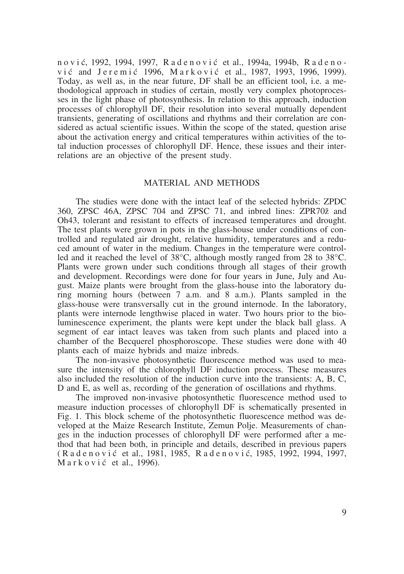n o v i ã, 1992, 1994, 1997, R a d e n o v i ã et al., 1994a, 1994b, R a d e n o vić and Jeremić 1996, Marković et al., 1987, 1993, 1996, 1999). Today, as well as, in the near future, DF shall be an efficient tool, i.e. a methodological approach in studies of certain, mostly very complex photoprocesses in the light phase of photosynthesis. In relation to this approach, induction processes of chlorophyll DF, their resolution into several mutually dependent transients, generating of oscillations and rhythms and their correlation are considered as actual scientific issues. Within the scope of the stated, question arise about the activation energy and critical temperatures within activities of the total induction processes of chlorophyll DF. Hence, these issues and their interrelations are an objective of the present study.

### MATERIAL AND METHODS

The studies were done with the intact leaf of the selected hybrids: ZPDC 360, ZPSC 46A, ZPSC 704 and ZPSC 71, and inbred lines: ZPR70ÿ and Oh43, tolerant and resistant to effects of increased temperatures and drought. The test plants were grown in pots in the glass-house under conditions of controlled and regulated air drought, relative humidity, temperatures and a reduced amount of water in the medium. Changes in the temperature were controlled and it reached the level of 38°C, although mostly ranged from 28 to 38°C. Plants were grown under such conditions through all stages of their growth and development. Recordings were done for four years in June, July and August. Maize plants were brought from the glass-house into the laboratory during morning hours (between 7 a.m. and 8 a.m.). Plants sampled in the glass-house were transversally cut in the ground internode. In the laboratory, plants were internode lengthwise placed in water. Two hours prior to the bioluminescence experiment, the plants were kept under the black ball glass. A segment of ear intact leaves was taken from such plants and placed into a chamber of the Becquerel phosphoroscope. These studies were done with 40 plants each of maize hybrids and maize inbreds.

The non-invasive photosynthetic fluorescence method was used to measure the intensity of the chlorophyll DF induction process. These measures also included the resolution of the induction curve into the transients: A, B, C, D and E, as well as, recording of the generation of oscillations and rhythms.

The improved non-invasive photosynthetic fluorescence method used to measure induction processes of chlorophyll DF is schematically presented in Fig. 1. This block scheme of the photosynthetic fluorescence method was developed at the Maize Research Institute, Zemun Polje. Measurements of changes in the induction processes of chlorophyll DF were performed after a method that had been both, in principle and details, described in previous papers ( R a d e n o v i ã et al., 1981, 1985, R a d e n o v i ã, 1985, 1992, 1994, 1997,  $M$  a r k o v i  $\acute{c}$  et al., 1996).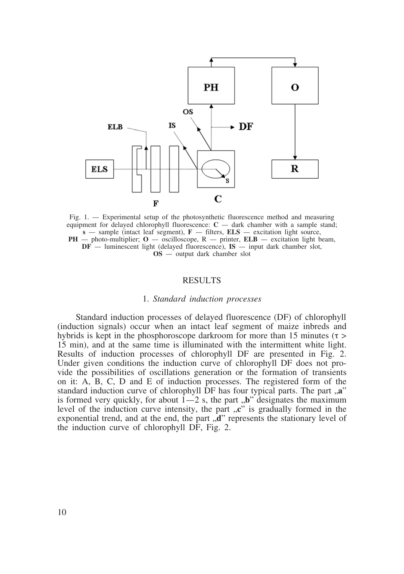

Fig. 1. — Experimental setup of the photosynthetic fluorescence method and measuring equipment for delayed chlorophyll fluorescence:  $C -$  dark chamber with a sample stand; **s** — sample (intact leaf segment), **F** — filters, **ELS** — excitation light source, **PH** — photo-multiplier; **O** — oscilloscope, R — printer, **ELB** — excitation light beam,  $DF$  — luminescent light (delayed fluorescence),  $IS$  — input dark chamber slot, **OS** — output dark chamber slot

### RESULTS

#### 1. *Standard induction processes*

Standard induction processes of delayed fluorescence (DF) of chlorophyll (induction signals) occur when an intact leaf segment of maize inbreds and hybrids is kept in the phosphoroscope darkroom for more than 15 minutes ( $\tau$ ) 15 min), and at the same time is illuminated with the intermittent white light. Results of induction processes of chlorophyll DF are presented in Fig. 2. Under given conditions the induction curve of chlorophyll DF does not provide the possibilities of oscillations generation or the formation of transients on it: A, B, C, D and E of induction processes. The registered form of the standard induction curve of chlorophyll DF has four typical parts. The part ,,a" is formed very quickly, for about  $1-2$  s, the part  $b^{\prime\prime}$  designates the maximum level of the induction curve intensity, the part "**c**" is gradually formed in the exponential trend, and at the end, the part  $\overrightarrow{d}$ " represents the stationary level of the induction curve of chlorophyll DF, Fig. 2.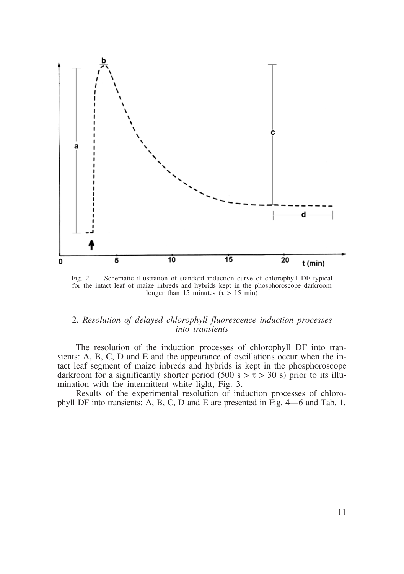

Fig. 2. — Schematic illustration of standard induction curve of chlorophyll DF typical for the intact leaf of maize inbreds and hybrids kept in the phosphoroscope darkroom longer than 15 minutes ( $\tau > 15$  min)

# 2. *Resolution of delayed chlorophyll fluorescence induction processes into transients*

The resolution of the induction processes of chlorophyll DF into transients: A, B, C, D and E and the appearance of oscillations occur when the intact leaf segment of maize inbreds and hybrids is kept in the phosphoroscope darkroom for a significantly shorter period (500 s  $> \tau > 30$  s) prior to its illumination with the intermittent white light, Fig. 3.

Results of the experimental resolution of induction processes of chlorophyll DF into transients: A, B, C, D and E are presented in Fig. 4—6 and Tab. 1.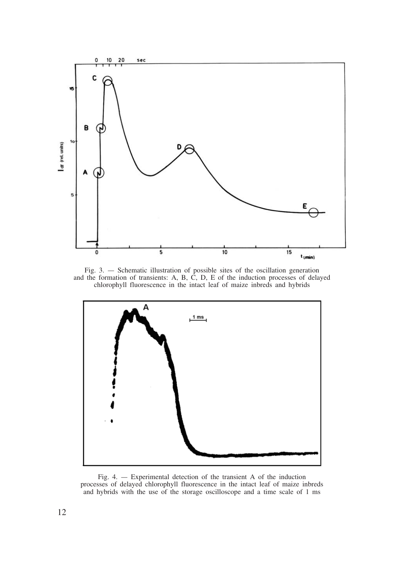

Fig. 3. — Schematic illustration of possible sites of the oscillation generation and the formation of transients: A, B, C, D, E of the induction processes of delayed chlorophyll fluorescence in the intact leaf of maize inbreds and hybrids



Fig. 4. — Experimental detection of the transient A of the induction processes of delayed chlorophyll fluorescence in the intact leaf of maize inbreds and hybrids with the use of the storage oscilloscope and a time scale of 1 ms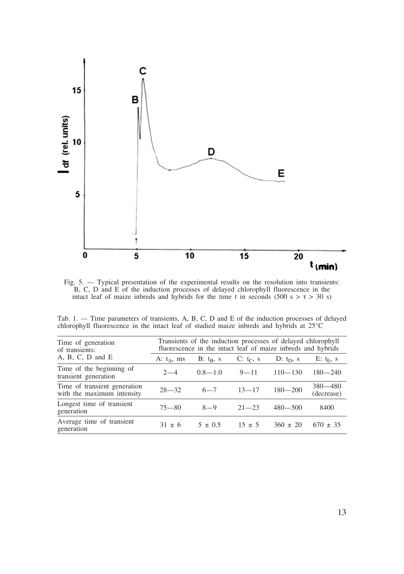

Fig. 5. — Typical presentation of the experimental results on the resolution into transients: B, C, D and E of the induction processes of delayed chlorophyll fluorescence in the intact leaf of maize inbreds and hybrids for the time t in seconds (500 s  $> \tau$  > 30 s)

| Tab. 1. $-$ Time parameters of transients, A, B, C, D and E of the induction processes of delayed  |  |  |  |  |  |
|----------------------------------------------------------------------------------------------------|--|--|--|--|--|
| chlorophyll fluorescence in the intact leaf of studied maize inbreds and hybrids at $25^{\circ}$ C |  |  |  |  |  |

| Time of generation<br>of transients:                       | Transients of the induction processes of delayed chlorophyll<br>fluorescence in the intact leaf of maize inbreds and hybrids |             |              |              |                           |
|------------------------------------------------------------|------------------------------------------------------------------------------------------------------------------------------|-------------|--------------|--------------|---------------------------|
| $A, B, C, D$ and $E$                                       | A: $t_A$ , ms                                                                                                                | $B: t_B, s$ | C: $t_C$ , s | $D: t_D, s$  | $E: t_F, s$               |
| Time of the beginning of<br>transient generation           | $2 - 4$                                                                                                                      | $0.8 - 1.0$ | $9 - 11$     | $110 - 130$  | $180 - 240$               |
| Time of transient generation<br>with the maximum intensity | $28 - 32$                                                                                                                    | $6 - 7$     | $13 - 17$    | $180 - 200$  | $380 - 480$<br>(decrease) |
| Longest time of transient<br>generation                    | $75 - 80$                                                                                                                    | $8 - 9$     | $21 - 23$    | $480 - 500$  | 8400                      |
| Average time of transient<br>generation                    | $31 \pm 6$                                                                                                                   | $5 + 0.5$   | $15 \pm 5$   | $360 \pm 20$ | $670 \pm 35$              |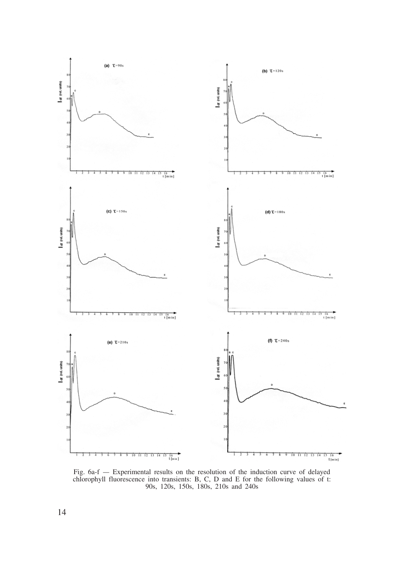

Fig. 6a-f — Experimental results on the resolution of the induction curve of delayed chlorophyll fluorescence into transients: B, C, D and E for the following values of t: 90s, 120s, 150s, 180s, 210s and 240s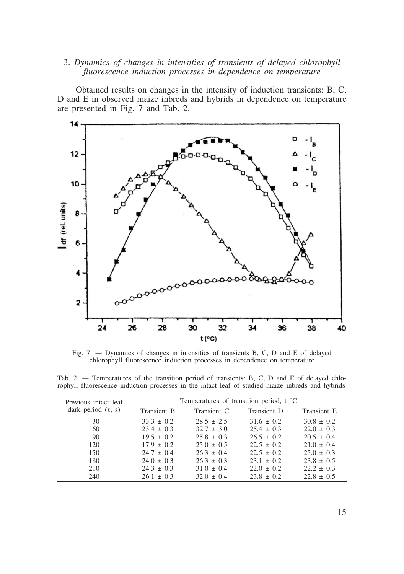# 3. *Dynamics of changes in intensities of transients of delayed chlorophyll fluorescence induction processes in dependence on temperature*

Obtained results on changes in the intensity of induction transients: B, C, D and E in observed maize inbreds and hybrids in dependence on temperature are presented in Fig. 7 and Tab. 2.



Fig. 7. — Dynamics of changes in intensities of transients B, C, D and E of delayed chlorophyll fluorescence induction processes in dependence on temperature

Tab. 2. — Temperatures of the transition period of transients: B, C, D and E of delayed chlorophyll fluorescence induction processes in the intact leaf of studied maize inbreds and hybrids

| Previous intact leaf    | Temperatures of transition period, t $^{\circ}C$ |                |                |                |  |  |
|-------------------------|--------------------------------------------------|----------------|----------------|----------------|--|--|
| dark period $(\tau, s)$ | Transient B                                      | Transient C    | Transient D    | Transient E    |  |  |
| 30                      | $33.3 \pm 0.2$                                   | $28.5 \pm 2.5$ | $31.6 \pm 0.2$ | $30.8 \pm 0.2$ |  |  |
| 60                      | $23.4 \pm 0.3$                                   | $32.7 \pm 3.0$ | $25.4 \pm 0.3$ | $22.0 \pm 0.3$ |  |  |
| 90                      | $19.5 \pm 0.2$                                   | $25.8 \pm 0.3$ | $26.5 \pm 0.2$ | $20.5 \pm 0.4$ |  |  |
| 120                     | $17.9 \pm 0.2$                                   | $25.0 \pm 0.5$ | $22.5 \pm 0.2$ | $21.0 \pm 0.4$ |  |  |
| 150                     | $24.7 \pm 0.4$                                   | $26.3 \pm 0.4$ | $22.5 \pm 0.2$ | $25.0 \pm 0.3$ |  |  |
| 180                     | $24.0 \pm 0.3$                                   | $26.3 \pm 0.3$ | $23.1 \pm 0.2$ | $23.8 \pm 0.5$ |  |  |
| 210                     | $24.3 \pm 0.3$                                   | $31.0 \pm 0.4$ | $22.0 \pm 0.2$ | $22.2 \pm 0.3$ |  |  |
| 240                     | $26.1 \pm 0.3$                                   | $32.0 \pm 0.4$ | $23.8 \pm 0.2$ | $22.8 \pm 0.5$ |  |  |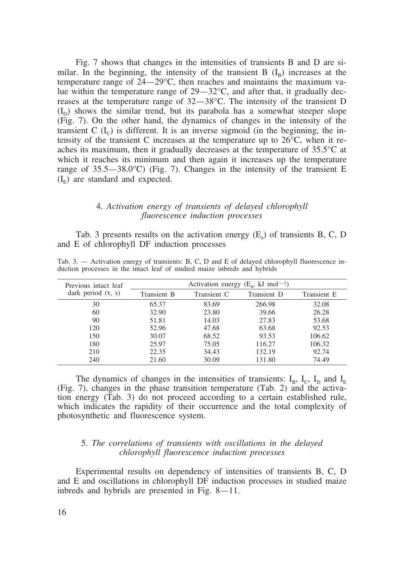Fig. 7 shows that changes in the intensities of transients B and D are similar. In the beginning, the intensity of the transient B  $(I_B)$  increases at the temperature range of 24—29°C, then reaches and maintains the maximum value within the temperature range of 29—32°C, and after that, it gradually decreases at the temperature range of 32—38°C. The intensity of the transient D  $(I<sub>D</sub>)$  shows the similar trend, but its parabola has a somewhat steeper slope (Fig. 7). On the other hand, the dynamics of changes in the intensity of the transient C  $(I<sub>c</sub>)$  is different. It is an inverse sigmoid (in the beginning, the intensity of the transient C increases at the temperature up to 26°C, when it reaches its maximum, then it gradually decreases at the temperature of 35.5°C at which it reaches its minimum and then again it increases up the temperature range of 35.5—38.0°C) (Fig. 7). Changes in the intensity of the transient E  $(I<sub>E</sub>)$  are standard and expected.

### 4. *Activation energy of transients of delayed chlorophyll fluorescence induction processes*

Tab. 3 presents results on the activation energy  $(E_a)$  of transients B, C, D and E of chlorophyll DF induction processes

| Previous intact leaf    | Activation energy $(E_a, kJ \text{ mol}^{-1})$ |             |             |             |  |  |
|-------------------------|------------------------------------------------|-------------|-------------|-------------|--|--|
| dark period $(\tau, s)$ | Transient B                                    | Transient C | Transient D | Transient E |  |  |
| 30                      | 65.37                                          | 83.69       | 266.98      | 32.08       |  |  |
| 60                      | 32.90                                          | 23.80       | 39.66       | 26.28       |  |  |
| 90                      | 51.81                                          | 14.03       | 27.83       | 53.68       |  |  |
| 120                     | 52.96                                          | 47.68       | 63.68       | 92.53       |  |  |
| 150                     | 30.07                                          | 68.52       | 93.53       | 106.62      |  |  |
| 180                     | 25.97                                          | 75.05       | 116.27      | 106.32      |  |  |
| 210                     | 22.35                                          | 34.43       | 132.19      | 92.74       |  |  |
| 240                     | 21.60                                          | 30.09       | 131.80      | 74.49       |  |  |

Tab. 3. — Activation energy of transients: B, C, D and E of delayed chlorophyll fluorescence induction processes in the intact leaf of studied maize inbreds and hybrids

The dynamics of changes in the intensities of transients:  $I_B$ ,  $I_C$ ,  $I_D$  and  $I_E$ (Fig. 7), changes in the phase transition temperature (Tab. 2) and the activation energy (Tab. 3) do not proceed according to a certain established rule, which indicates the rapidity of their occurrence and the total complexity of photosynthetic and fluorescence system.

### 5. *The correlations of transients with oscillations in the delayed chlorophyll fluorescence induction processes*

Experimental results on dependency of intensities of transients B, C, D and E and oscillations in chlorophyll DF induction processes in studied maize inbreds and hybrids are presented in Fig. 8—11.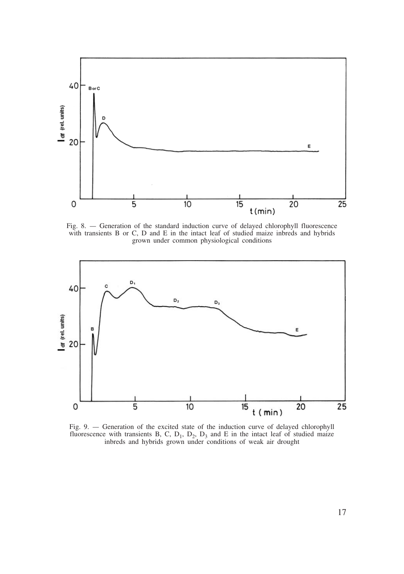

Fig. 8. — Generation of the standard induction curve of delayed chlorophyll fluorescence with transients B or C, D and E in the intact leaf of studied maize inbreds and hybrids grown under common physiological conditions



Fig. 9. — Generation of the excited state of the induction curve of delayed chlorophyll fluorescence with transients B, C,  $D_1$ ,  $D_2$ ,  $D_3$  and E in the intact leaf of studied maize inbreds and hybrids grown under conditions of weak air drought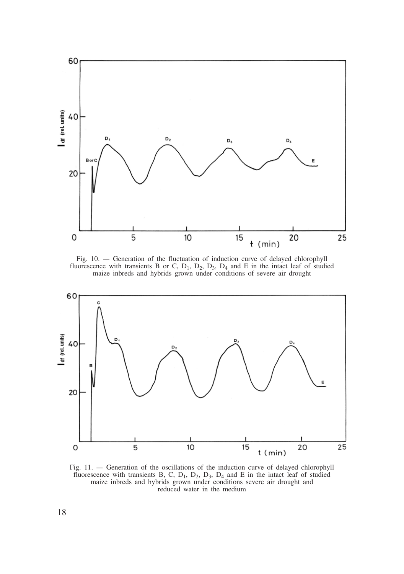

Fig. 10. — Generation of the fluctuation of induction curve of delayed chlorophyll fluorescence with transients B or C,  $D_1$ ,  $D_2$ ,  $D_3$ ,  $D_4$  and E in the intact leaf of studied maize inbreds and hybrids grown under conditions of severe air drought



Fig. 11. — Generation of the oscillations of the induction curve of delayed chlorophyll fluorescence with transients B, C,  $D_1$ ,  $D_2$ ,  $D_3$ ,  $D_4$  and E in the intact leaf of studied maize inbreds and hybrids grown under conditions severe air drought and reduced water in the medium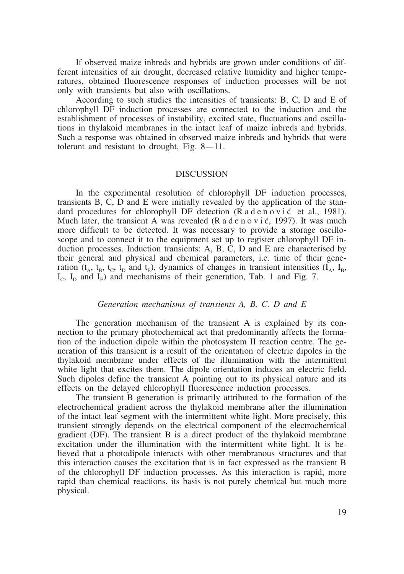If observed maize inbreds and hybrids are grown under conditions of different intensities of air drought, decreased relative humidity and higher temperatures, obtained fluorescence responses of induction processes will be not only with transients but also with oscillations.

According to such studies the intensities of transients: B, C, D and E of chlorophyll DF induction processes are connected to the induction and the establishment of processes of instability, excited state, fluctuations and oscillations in thylakoid membranes in the intact leaf of maize inbreds and hybrids. Such a response was obtained in observed maize inbreds and hybrids that were tolerant and resistant to drought, Fig. 8—11.

#### DISCUSSION

In the experimental resolution of chlorophyll DF induction processes, transients B, C, D and E were initially revealed by the application of the standard procedures for chlorophyll DF detection  $(R \cdot a \cdot d \cdot e \cdot a \cdot b \cdot a \cdot b \cdot a \cdot b \cdot b \cdot c \cdot c \cdot d \cdot a \cdot b \cdot b \cdot c \cdot b \cdot c \cdot b \cdot c \cdot b \cdot c \cdot b \cdot c \cdot b \cdot c \cdot b \cdot c \cdot b \cdot c \cdot b \cdot c \cdot b \cdot c \cdot b \cdot c \cdot b \cdot c \cdot b \cdot c \cdot b \cdot c \cdot b \cdot c \cdot b \cdot c \cdot b \cdot c \cdot b \cdot c \cdot b \cdot c \cdot b \cdot c \cdot b \cdot c \cdot b$ Much later, the transient A was revealed (R a d e n o v i  $\acute{c}$ , 1997). It was much more difficult to be detected. It was necessary to provide a storage oscilloscope and to connect it to the equipment set up to register chlorophyll DF induction processes. Induction transients: A, B, C, D and E are characterised by their general and physical and chemical parameters, i.e. time of their generation ( $t_A$ ,  $t_B$ ,  $t_C$ ,  $t_D$  and  $t_E$ ), dynamics of changes in transient intensities ( $\overline{I_A}$ ,  $\overline{I_B}$ ,  $I_c$ ,  $I_p$  and  $I_p$ ) and mechanisms of their generation, Tab. 1 and Fig. 7.

### *Generation mechanisms of transients A, B, C, D and E*

The generation mechanism of the transient A is explained by its connection to the primary photochemical act that predominantly affects the formation of the induction dipole within the photosystem II reaction centre. The generation of this transient is a result of the orientation of electric dipoles in the thylakoid membrane under effects of the illumination with the intermittent white light that excites them. The dipole orientation induces an electric field. Such dipoles define the transient A pointing out to its physical nature and its effects on the delayed chlorophyll fluorescence induction processes.

The transient B generation is primarily attributed to the formation of the electrochemical gradient across the thylakoid membrane after the illumination of the intact leaf segment with the intermittent white light. More precisely, this transient strongly depends on the electrical component of the electrochemical gradient (DF). The transient B is a direct product of the thylakoid membrane excitation under the illumination with the intermittent white light. It is believed that a photodipole interacts with other membranous structures and that this interaction causes the excitation that is in fact expressed as the transient B of the chlorophyll DF induction processes. As this interaction is rapid, more rapid than chemical reactions, its basis is not purely chemical but much more physical.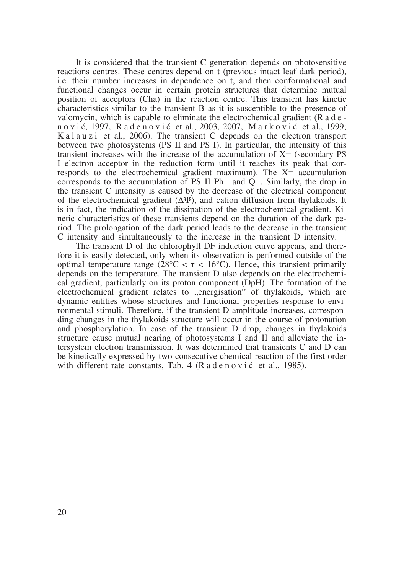It is considered that the transient C generation depends on photosensitive reactions centres. These centres depend on t (previous intact leaf dark period), i.e. their number increases in dependence on t, and then conformational and functional changes occur in certain protein structures that determine mutual position of acceptors (Cha) in the reaction centre. This transient has kinetic characteristics similar to the transient B as it is susceptible to the presence of valomycin, which is capable to eliminate the electrochemical gradient (R a d e n o v i ć, 1997, R a d e n o v i ć et al., 2003, 2007, M a r k o v i ć et al., 1999; K a l a u z i et al., 2006). The transient C depends on the electron transport between two photosystems (PS II and PS I). In particular, the intensity of this transient increases with the increase of the accumulation of X— (secondary PS I electron acceptor in the reduction form until it reaches its peak that corresponds to the electrochemical gradient maximum). The  $X^{-}$  accumulation corresponds to the accumulation of PS II Ph— and  $O<sub>-</sub>$ . Similarly, the drop in the transient C intensity is caused by the decrease of the electrical component of the electrochemical gradient  $(\Delta \Psi)$ , and cation diffusion from thylakoids. It is in fact, the indication of the dissipation of the electrochemical gradient. Kinetic characteristics of these transients depend on the duration of the dark period. The prolongation of the dark period leads to the decrease in the transient C intensity and simultaneously to the increase in the transient D intensity.

The transient D of the chlorophyll DF induction curve appears, and therefore it is easily detected, only when its observation is performed outside of the optimal temperature range ( $28^{\circ}$ C <  $\tau$  < 16°C). Hence, this transient primarily depends on the temperature. The transient D also depends on the electrochemical gradient, particularly on its proton component (DpH). The formation of the electrochemical gradient relates to "energisation" of thylakoids, which are dynamic entities whose structures and functional properties response to environmental stimuli. Therefore, if the transient D amplitude increases, corresponding changes in the thylakoids structure will occur in the course of protonation and phosphorylation. In case of the transient D drop, changes in thylakoids structure cause mutual nearing of photosystems I and II and alleviate the intersystem electron transmission. It was determined that transients C and D can be kinetically expressed by two consecutive chemical reaction of the first order with different rate constants, Tab.  $4$  (R a d e n o v i  $\acute{c}$  et al., 1985).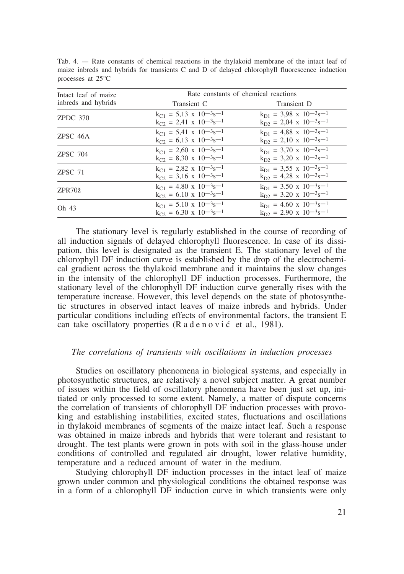| Intact leaf of maize | Rate constants of chemical reactions                                                |                                                                                            |  |  |  |
|----------------------|-------------------------------------------------------------------------------------|--------------------------------------------------------------------------------------------|--|--|--|
| inbreds and hybrids  | Transient C                                                                         | Transient D                                                                                |  |  |  |
| <b>ZPDC 370</b>      | $k_{C1} = 5.13 \times 10^{-3} s^{-1}$<br>$k_{C2} = 2.41 \times 10^{-3} s^{-1}$      | $k_{D1} = 3.98 \times 10^{-3} s^{-1}$<br>$k_{D2} = 2.04 \times 10^{-3} s^{-1}$             |  |  |  |
| ZPSC 46A             | $k_{C1} = 5,41 \times 10^{-3} s^{-1}$<br>$k_{C2} = 6,13 \times 10^{-3}s^{-1}$       | $k_{D1} = 4,88$ x $10^{-3}s^{-1}$<br>$k_{D2} = 2,10 \text{ x } 10^{-3} s^{-1}$             |  |  |  |
| <b>ZPSC 704</b>      | $k_{C1} = 2{,}60 \times 10^{-3}s^{-1}$<br>$k_{C2} = 8,30 \text{ x } 10^{-3} s^{-1}$ | $k_{D1} = 3{,}70 \times 10^{-3}s^{-1}$<br>$k_{D2} = 3,20 \text{ x } 10^{-3} \text{s}^{-1}$ |  |  |  |
| ZPSC 71              | $k_{C1} = 2,82 \times 10^{-3}s^{-1}$<br>$k_{C2} = 3,16 \times 10^{-3} s^{-1}$       | $k_{D1} = 3{,}55 \times 10^{-3}s^{-1}$<br>$k_{D2} = 4,28 \text{ x } 10^{-3} \text{s}^{-1}$ |  |  |  |
| ZPR70ž               | $k_{C1} = 4.80 \times 10^{-3} s^{-1}$<br>$k_{C2} = 6.10 \times 10^{-3} s^{-1}$      | $k_{D1} = 3.50 \times 10^{-3} s^{-1}$<br>$k_{D2} = 3.20 \text{ x } 10^{-3} \text{s}^{-1}$  |  |  |  |
| Oh 43                | $k_{C1} = 5.10 \times 10^{-3} s^{-1}$<br>$k_{C2} = 6.30 \times 10^{-3} s^{-1}$      | $k_{D1} = 4.60 \times 10^{-3} s^{-1}$<br>$k_{D2} = 2.90 \times 10^{-3} s^{-1}$             |  |  |  |

Tab. 4. — Rate constants of chemical reactions in the thylakoid membrane of the intact leaf of maize inbreds and hybrids for transients C and D of delayed chlorophyll fluorescence induction processes at 25°C

The stationary level is regularly established in the course of recording of all induction signals of delayed chlorophyll fluorescence. In case of its dissipation, this level is designated as the transient E. The stationary level of the chlorophyll DF induction curve is established by the drop of the electrochemical gradient across the thylakoid membrane and it maintains the slow changes in the intensity of the chlorophyll DF induction processes. Furthermore, the stationary level of the chlorophyll DF induction curve generally rises with the temperature increase. However, this level depends on the state of photosynthetic structures in observed intact leaves of maize inbreds and hybrids. Under particular conditions including effects of environmental factors, the transient E can take oscillatory properties (R a d e n o v i  $\acute{c}$  et al., 1981).

#### *The correlations of transients with oscillations in induction processes*

Studies on oscillatory phenomena in biological systems, and especially in photosynthetic structures, are relatively a novel subject matter. A great number of issues within the field of oscillatory phenomena have been just set up, initiated or only processed to some extent. Namely, a matter of dispute concerns the correlation of transients of chlorophyll DF induction processes with provoking and establishing instabilities, excited states, fluctuations and oscillations in thylakoid membranes of segments of the maize intact leaf. Such a response was obtained in maize inbreds and hybrids that were tolerant and resistant to drought. The test plants were grown in pots with soil in the glass-house under conditions of controlled and regulated air drought, lower relative humidity, temperature and a reduced amount of water in the medium.

Studying chlorophyll DF induction processes in the intact leaf of maize grown under common and physiological conditions the obtained response was in a form of a chlorophyll DF induction curve in which transients were only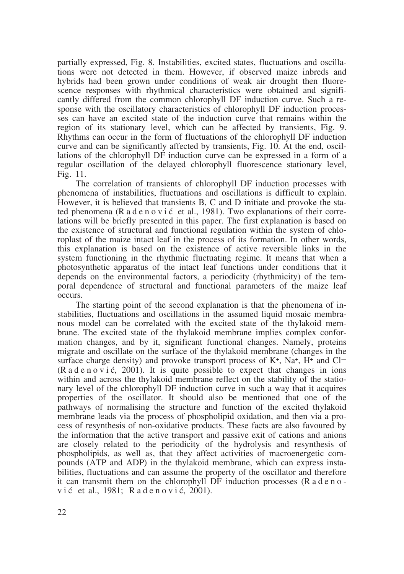partially expressed, Fig. 8. Instabilities, excited states, fluctuations and oscillations were not detected in them. However, if observed maize inbreds and hybrids had been grown under conditions of weak air drought then fluorescence responses with rhythmical characteristics were obtained and significantly differed from the common chlorophyll DF induction curve. Such a response with the oscillatory characteristics of chlorophyll DF induction processes can have an excited state of the induction curve that remains within the region of its stationary level, which can be affected by transients, Fig. 9. Rhythms can occur in the form of fluctuations of the chlorophyll DF induction curve and can be significantly affected by transients, Fig. 10. At the end, oscillations of the chlorophyll DF induction curve can be expressed in a form of a regular oscillation of the delayed chlorophyll fluorescence stationary level, Fig. 11.

The correlation of transients of chlorophyll DF induction processes with phenomena of instabilities, fluctuations and oscillations is difficult to explain. However, it is believed that transients B, C and D initiate and provoke the stated phenomena (R a d e n o v i  $\acute{c}$  et al., 1981). Two explanations of their correlations will be briefly presented in this paper. The first explanation is based on the existence of structural and functional regulation within the system of chloroplast of the maize intact leaf in the process of its formation. In other words, this explanation is based on the existence of active reversible links in the system functioning in the rhythmic fluctuating regime. It means that when a photosynthetic apparatus of the intact leaf functions under conditions that it depends on the environmental factors, a periodicity (rhythmicity) of the temporal dependence of structural and functional parameters of the maize leaf occurs.

The starting point of the second explanation is that the phenomena of instabilities, fluctuations and oscillations in the assumed liquid mosaic membranous model can be correlated with the excited state of the thylakoid membrane. The excited state of the thylakoid membrane implies complex conformation changes, and by it, significant functional changes. Namely, proteins migrate and oscillate on the surface of the thylakoid membrane (changes in the surface charge density) and provoke transport process of  $K^+$ ,  $Na^+$ ,  $H^+$  and  $Cl^ (R \text{ a } d \text{ e } n \text{ o } v \text{ i } \text{c}, 2001)$ . It is quite possible to expect that changes in ions within and across the thylakoid membrane reflect on the stability of the stationary level of the chlorophyll DF induction curve in such a way that it acquires properties of the oscillator. It should also be mentioned that one of the pathways of normalising the structure and function of the excited thylakoid membrane leads via the process of phospholipid oxidation, and then via a process of resynthesis of non-oxidative products. These facts are also favoured by the information that the active transport and passive exit of cations and anions are closely related to the periodicity of the hydrolysis and resynthesis of phospholipids, as well as, that they affect activities of macroenergetic compounds (ATP and ADP) in the thylakoid membrane, which can express instabilities, fluctuations and can assume the property of the oscillator and therefore it can transmit them on the chlorophyll DF induction processes (R a d e n o vić et al., 1981; R a d e n o v i ć, 2001).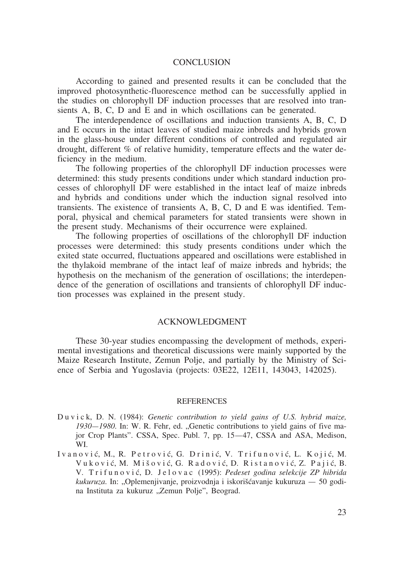### **CONCLUSION**

According to gained and presented results it can be concluded that the improved photosynthetic-fluorescence method can be successfully applied in the studies on chlorophyll DF induction processes that are resolved into transients A, B, C, D and E and in which oscillations can be generated.

The interdependence of oscillations and induction transients A, B, C, D and E occurs in the intact leaves of studied maize inbreds and hybrids grown in the glass-house under different conditions of controlled and regulated air drought, different % of relative humidity, temperature effects and the water deficiency in the medium.

The following properties of the chlorophyll DF induction processes were determined: this study presents conditions under which standard induction processes of chlorophyll DF were established in the intact leaf of maize inbreds and hybrids and conditions under which the induction signal resolved into transients. The existence of transients A, B, C, D and E was identified. Temporal, physical and chemical parameters for stated transients were shown in the present study. Mechanisms of their occurrence were explained.

The following properties of oscillations of the chlorophyll DF induction processes were determined: this study presents conditions under which the exited state occurred, fluctuations appeared and oscillations were established in the thylakoid membrane of the intact leaf of maize inbreds and hybrids; the hypothesis on the mechanism of the generation of oscillations; the interdependence of the generation of oscillations and transients of chlorophyll DF induction processes was explained in the present study.

#### ACKNOWLEDGMENT

These 30-year studies encompassing the development of methods, experimental investigations and theoretical discussions were mainly supported by the Maize Research Institute, Zemun Polje, and partially by the Ministry of Science of Serbia and Yugoslavia (projects: 03E22, 12E11, 143043, 142025).

#### REFERENCES

- D u v i c k, D. N. (1984): *Genetic contribution to yield gains of U.S. hybrid maize,* 1930—1980. In: W. R. Fehr, ed. "Genetic contributions to yield gains of five major Crop Plants". CSSA, Spec. Publ. 7, pp. 15—47, CSSA and ASA, Medison, WI.
- Ivanović, M., R. Petrović, G. Drinić, V. Trifunović, L. Kojić, M. Vuković, M. Mišović, G. Radović, D. Ristanović, Z. Pajić, B. V. T r i f u n o v i ã, D. J e l o v a c (1995): *Pedeset godina selekcije ZP hibrida kukuruza*. In: "Oplemenjivanje, proizvodnja i iskorišćavanje kukuruza — 50 godina Instituta za kukuruz "Zemun Polje", Beograd.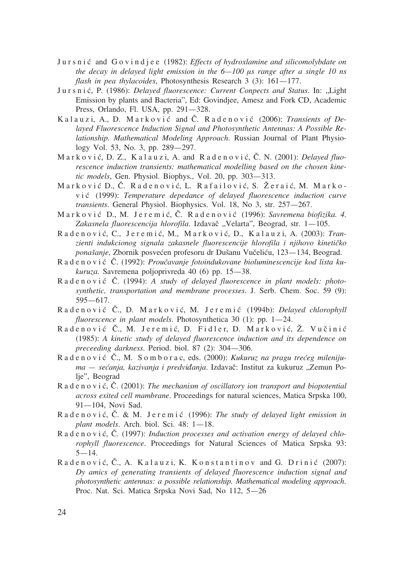- Jursnić and Govindjee (1982): *Effects of hydroxlamine and silicomolybdate on the decay in delayed light emission in the 6—100 ms range after a single 10 ns flash in pea thylacoides*, Photosynthesis Research 3 (3): 161—177.
- Jursnić, P. (1986): *Delayed fluorescence: Current Conpects and Status*. In: "Light Emission by plants and Bacteria", Ed: Govindjee, Amesz and Fork CD, Academic Press, Orlando, Fl. USA, pp. 291—328.
- Kalauzi, A., D. Marković and Č. Radenović (2006): *Transients of Delayed Fluorescence Induction Signal and Photosynthetic Antennas: A Possible Relationship. Mathematical Modeling Approach*. Russian Journal of Plant Physiology Vol. 53, No. 3, pp. 289—297.
- M a r k o v i ć, D. Z., K a l a u z i, A. and R a d e n o v i ć, Č. N. (2001): *Delayed fluorescence induction transients: mathematical modelling based on the chosen kinetic models*, Gen. Physiol. Biophys., Vol. 20, pp. 303—313.
- Marković D., Č. Radenović, L. Rafailović, S. Žeraić, M. Marković (1999): Temperature depedance of delayed fluorescence induction curve *transients*. General Physiol. Biophysics. Vol. 18, No 3, str. 257—267.
- Marković D., M. Jeremić, Č. Radenović (1996): Savremena biofizika. 4. Zakasnela fluorescencija hlorofila. Izdavač "Velarta", Beograd, str. 1-105.
- Radenović, C., Jeremić, M., Marković, D., Kalauzi, A. (2003): Tran*zienti indukcionog signala zakasnele fluorescencije hlorofila i njihovo kinetiåko ponašanje*, Zbornik posvećen profesoru dr Dušanu Vučeliću, 123—134, Beograd.
- R a d e n o v i ć Č. (1992): *Proučavanje fotoindukovane bioluminescencije kod lista kukuruza*. Savremena poljoprivreda 40 (6) pp. 15—38.
- R a d e n o v i ć Č. (1994): A *study of delayed fluorescence in plant models: photosynthetic, transportation and membrane processes*. J. Serb. Chem. Soc. 59 (9): 595—617.
- Radenović Č., D. Marković, M. Jeremić (1994b): *Delayed chlorophyll fluorescence in plant models*. Photosynthetica 30 (1): pp. 1—24.
- Radenović Č., M. Jeremić, D. Fidler, D. Marković, Ž. Vučinić (1985): *A kinetic study of delayed fluorescence induction and its dependence on preceeding darkness*. Period. biol. 87 (2): 304—306.
- R a d e n o v i ć Č., M. S o m b o r a c, eds. (2000): *Kukuruz na pragu trećeg milenijuma — seãanja, kazivanja i predviðanja*. Izdavaå: Institut za kukuruz "Zemun Polie". Beograd
- R a d e n o v i ć, Č. (2001): *The mechanism of oscillatory ion transport and biopotential across exited cell mambrane*. Proceedings for natural sciences, Matica Srpska 100, 91—104, Novi Sad.
- R a d e n o v i ć, Č. & M. J e r e m i ć (1996): *The study of delayed light emission in plant models*. Arch. biol. Sci. 48: 1—18.
- R a d e n o v i ć, Č. (1997): *Induction processes and activation energy of delayed chlorophyll fluorescence*. Proceedings for Natural Sciences of Matica Srpska 93:  $5 - 14.$
- Radenović, Č., A. Kalauzi, K. Konstantinov and G. Drinić (2007): *Dy amics of generating transients of delayed fluorescence induction signal and photosynthetic antennas: a possible relationship. Mathematical modeling approach*. Proc. Nat. Sci. Matica Srpska Novi Sad, No 112, 5—26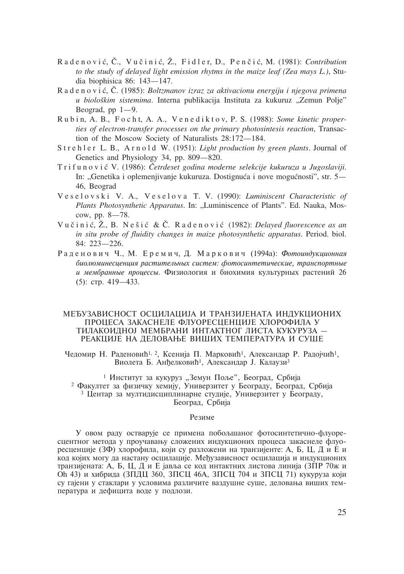- R a d e n o v i ã, Å., V u å i n i ã, Ÿ., F i d l e r, D., P e n å i ã, M. (1981): *Contribution to the study of delayed light emission rhytms in the maize leaf (Zea mays L.)*, Studia biophisica 86: 143—147.
- R a d e n o v i ã, Å. (1985): *Boltzmanov izraz za aktivacionu energiju i njegova primena* u biološkim sistemima. Interna publikacija Instituta za kukuruz "Zemun Polje" Beograd, pp 1—9.
- R u b i n, A. B., F o c h t, A. A., V e n e d i k t o v, P. S. (1988): *Some kinetic properties of electron-transfer processes on the primary photosintesis reaction*, Transaction of the Moscow Society of Naturalists 28:172—184.
- S t r e h l e r L. B., A r n o l d W. (1951): *Light production by green plants*. Journal of Genetics and Physiology 34, pp. 809—820.
- T r i f u n o v i ã V. (1986): *Åetrdeset godina moderne selekcije kukuruza u Jugoslaviji*. In: "Genetika i oplemenjivanje kukuruza. Dostignuća i nove mogućnosti", str. 5— 46, Beograd
- V e s e l o v s k i V. A., V e s e l o v a T. V. (1990): *Luminiscent Characteristic of Plants Photosynthetic Apparatus*. In: "Luminiscence of Plants". Ed. Nauka, Moscow, pp. 8—78.
- Vučinić, Ž., B. Nešić & Č. Radenović (1982): *Delayed fluorescence as an in situ probe of fluidity changes in maize photosynthetic apparatus*. Period. biol.  $84.223 - 226$
- Раденович Ч., М. Еремич, Д. Маркович (1994а): Фотоиндукционная *biolyminescenciä rastitelünœh sistem: fotosintetiåeskie, transportnœe и мембранные процессы*. Физиология и биохимия культурных растений 26  $(5)$ : crp. 419–433.

#### МЕЂУЗАВИСНОСТ ОСЦИЛАЦИЈА И ТРАНЗИЈЕНАТА ИНДУКЦИОНИХ ПРОЦЕСА ЗАКАСНЕЛЕ ФЛУОРЕСЦЕНЦИЈЕ ХЛОРОФИЛА У ТИЛАКОИДНОЈ МЕМБРАНИ ИНТАКТНОГ ЛИСТА КУКУРУЗА — РЕАКЦИЈЕ НА ДЕЛОВАЊЕ ВИШИХ ТЕМПЕРАТУРА И СУШЕ

Чедомир Н. Раденовић<sup>1, 2</sup>, Ксенија П. Марковић<sup>1</sup>, Александар Р. Радојчић<sup>1</sup>, Виолета Б. Анђелковић<sup>1</sup>, Александар Ј. Калаузи<sup>3</sup>

1 Институт за кукуруз "Земун Поље", Београд, Србија <sup>2</sup> Факултет за физичку хемију, Универзитет у Београду, Београд, Србија з Центар за мултидисциплинарне студије, Универзитет у Београду, Београд, Србија

#### Резиме

У овом раду остварује се примена побољшаног фотосинтетично-флуоресцентног метода у проучавању сложених индукционих процеса закаснеле флуоресценције ( $3\Phi$ ) хлорофила, који су разложени на транзијенте: А, Б, Ц, Д и Е и код којих могу да настану осцилације. Међузависност осцилација и индукционих транзијената: А, Б, Ц, Д и Е јавља се код интактних листова линија (ЗПР 70ж и Oh 43) и хибрида (ЗПДЦ 360, ЗПСЦ 46А, ЗПСЦ 704 и ЗПСЦ 71) кукуруза који су гајени у стаклари у условима различите ваздушне суше, деловања виших температура и дефицита воде у подлози.